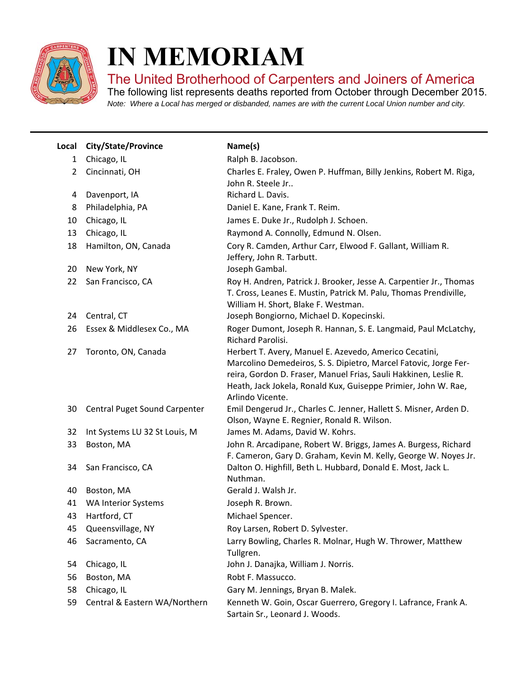

I

## **IN MEMORIAM**

The United Brotherhood of Carpenters and Joiners of America

The following list represents deaths reported from October through December 2015. *Note: Where a Local has merged or disbanded, names are with the current Local Union number and city.*

| Local          | <b>City/State/Province</b>    | Name(s)                                                                                                                                                                                                                                                                              |
|----------------|-------------------------------|--------------------------------------------------------------------------------------------------------------------------------------------------------------------------------------------------------------------------------------------------------------------------------------|
| $\mathbf{1}$   | Chicago, IL                   | Ralph B. Jacobson.                                                                                                                                                                                                                                                                   |
| $\overline{2}$ | Cincinnati, OH                | Charles E. Fraley, Owen P. Huffman, Billy Jenkins, Robert M. Riga,<br>John R. Steele Jr                                                                                                                                                                                              |
| 4              | Davenport, IA                 | Richard L. Davis.                                                                                                                                                                                                                                                                    |
| 8              | Philadelphia, PA              | Daniel E. Kane, Frank T. Reim.                                                                                                                                                                                                                                                       |
| 10             | Chicago, IL                   | James E. Duke Jr., Rudolph J. Schoen.                                                                                                                                                                                                                                                |
| 13             | Chicago, IL                   | Raymond A. Connolly, Edmund N. Olsen.                                                                                                                                                                                                                                                |
| 18             | Hamilton, ON, Canada          | Cory R. Camden, Arthur Carr, Elwood F. Gallant, William R.<br>Jeffery, John R. Tarbutt.                                                                                                                                                                                              |
| 20             | New York, NY                  | Joseph Gambal.                                                                                                                                                                                                                                                                       |
| 22             | San Francisco, CA             | Roy H. Andren, Patrick J. Brooker, Jesse A. Carpentier Jr., Thomas<br>T. Cross, Leanes E. Mustin, Patrick M. Palu, Thomas Prendiville,<br>William H. Short, Blake F. Westman.                                                                                                        |
| 24             | Central, CT                   | Joseph Bongiorno, Michael D. Kopecinski.                                                                                                                                                                                                                                             |
| 26             | Essex & Middlesex Co., MA     | Roger Dumont, Joseph R. Hannan, S. E. Langmaid, Paul McLatchy,<br>Richard Parolisi.                                                                                                                                                                                                  |
| 27             | Toronto, ON, Canada           | Herbert T. Avery, Manuel E. Azevedo, Americo Cecatini,<br>Marcolino Demedeiros, S. S. Dipietro, Marcel Fatovic, Jorge Fer-<br>reira, Gordon D. Fraser, Manuel Frias, Sauli Hakkinen, Leslie R.<br>Heath, Jack Jokela, Ronald Kux, Guiseppe Primier, John W. Rae,<br>Arlindo Vicente. |
| 30             | Central Puget Sound Carpenter | Emil Dengerud Jr., Charles C. Jenner, Hallett S. Misner, Arden D.<br>Olson, Wayne E. Regnier, Ronald R. Wilson.                                                                                                                                                                      |
| 32             | Int Systems LU 32 St Louis, M | James M. Adams, David W. Kohrs.                                                                                                                                                                                                                                                      |
| 33             | Boston, MA                    | John R. Arcadipane, Robert W. Briggs, James A. Burgess, Richard<br>F. Cameron, Gary D. Graham, Kevin M. Kelly, George W. Noyes Jr.                                                                                                                                                   |
| 34             | San Francisco, CA             | Dalton O. Highfill, Beth L. Hubbard, Donald E. Most, Jack L.<br>Nuthman.                                                                                                                                                                                                             |
| 40             | Boston, MA                    | Gerald J. Walsh Jr.                                                                                                                                                                                                                                                                  |
| 41             | <b>WA Interior Systems</b>    | Joseph R. Brown.                                                                                                                                                                                                                                                                     |
| 43             | Hartford, CT                  | Michael Spencer.                                                                                                                                                                                                                                                                     |
| 45             | Queensvillage, NY             | Roy Larsen, Robert D. Sylvester.                                                                                                                                                                                                                                                     |
| 46             | Sacramento, CA                | Larry Bowling, Charles R. Molnar, Hugh W. Thrower, Matthew<br>Tullgren.                                                                                                                                                                                                              |
| 54             | Chicago, IL                   | John J. Danajka, William J. Norris.                                                                                                                                                                                                                                                  |
| 56             | Boston, MA                    | Robt F. Massucco.                                                                                                                                                                                                                                                                    |
| 58             | Chicago, IL                   | Gary M. Jennings, Bryan B. Malek.                                                                                                                                                                                                                                                    |
| 59             | Central & Eastern WA/Northern | Kenneth W. Goin, Oscar Guerrero, Gregory I. Lafrance, Frank A.<br>Sartain Sr., Leonard J. Woods.                                                                                                                                                                                     |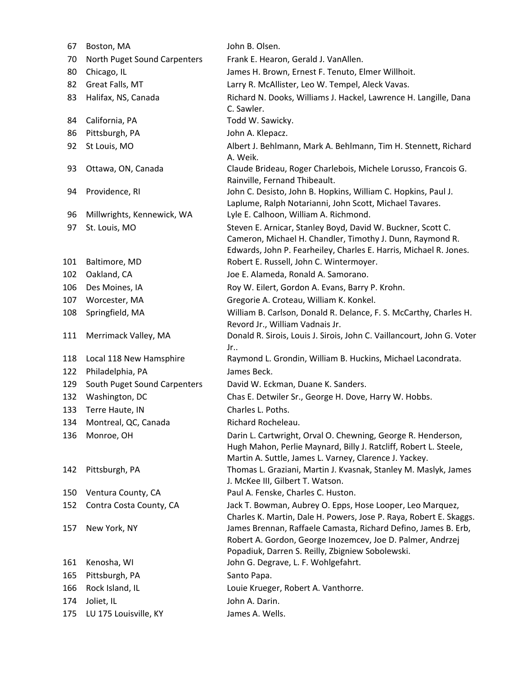| 67        | Boston, MA                     | John B. Olsen.                                                                                                                                                                                                                           |
|-----------|--------------------------------|------------------------------------------------------------------------------------------------------------------------------------------------------------------------------------------------------------------------------------------|
| 70        | North Puget Sound Carpenters   | Frank E. Hearon, Gerald J. VanAllen.                                                                                                                                                                                                     |
| 80        | Chicago, IL                    | James H. Brown, Ernest F. Tenuto, Elmer Willhoit.                                                                                                                                                                                        |
| 82        | Great Falls, MT                | Larry R. McAllister, Leo W. Tempel, Aleck Vavas.                                                                                                                                                                                         |
| 83        | Halifax, NS, Canada            | Richard N. Dooks, Williams J. Hackel, Lawrence H. Langille, Dana<br>C. Sawler.                                                                                                                                                           |
| 84        | California, PA                 | Todd W. Sawicky.                                                                                                                                                                                                                         |
| 86        | Pittsburgh, PA                 | John A. Klepacz.                                                                                                                                                                                                                         |
| 92        | St Louis, MO                   | Albert J. Behlmann, Mark A. Behlmann, Tim H. Stennett, Richard<br>A. Weik.                                                                                                                                                               |
| 93        | Ottawa, ON, Canada             | Claude Brideau, Roger Charlebois, Michele Lorusso, Francois G.<br>Rainville, Fernand Thibeault.                                                                                                                                          |
| 94        | Providence, RI                 | John C. Desisto, John B. Hopkins, William C. Hopkins, Paul J.<br>Laplume, Ralph Notarianni, John Scott, Michael Tavares.                                                                                                                 |
| 96        | Millwrights, Kennewick, WA     | Lyle E. Calhoon, William A. Richmond.                                                                                                                                                                                                    |
| 97<br>101 | St. Louis, MO<br>Baltimore, MD | Steven E. Arnicar, Stanley Boyd, David W. Buckner, Scott C.<br>Cameron, Michael H. Chandler, Timothy J. Dunn, Raymond R.<br>Edwards, John P. Fearheiley, Charles E. Harris, Michael R. Jones.<br>Robert E. Russell, John C. Wintermoyer. |
| 102       | Oakland, CA                    | Joe E. Alameda, Ronald A. Samorano.                                                                                                                                                                                                      |
| 106       | Des Moines, IA                 | Roy W. Eilert, Gordon A. Evans, Barry P. Krohn.                                                                                                                                                                                          |
| 107       | Worcester, MA                  | Gregorie A. Croteau, William K. Konkel.                                                                                                                                                                                                  |
| 108       | Springfield, MA                | William B. Carlson, Donald R. Delance, F. S. McCarthy, Charles H.<br>Revord Jr., William Vadnais Jr.                                                                                                                                     |
| 111       | Merrimack Valley, MA           | Donald R. Sirois, Louis J. Sirois, John C. Vaillancourt, John G. Voter<br>Jr                                                                                                                                                             |
| 118       | Local 118 New Hamsphire        | Raymond L. Grondin, William B. Huckins, Michael Lacondrata.                                                                                                                                                                              |
| 122       | Philadelphia, PA               | James Beck.                                                                                                                                                                                                                              |
| 129       | South Puget Sound Carpenters   | David W. Eckman, Duane K. Sanders.                                                                                                                                                                                                       |
| 132       | Washington, DC                 | Chas E. Detwiler Sr., George H. Dove, Harry W. Hobbs.                                                                                                                                                                                    |
| 133       | Terre Haute, IN                | Charles L. Poths.                                                                                                                                                                                                                        |
|           | 134 Montreal, QC, Canada       | Richard Rocheleau.                                                                                                                                                                                                                       |
| 136       | Monroe, OH                     | Darin L. Cartwright, Orval O. Chewning, George R. Henderson,<br>Hugh Mahon, Perlie Maynard, Billy J. Ratcliff, Robert L. Steele,<br>Martin A. Suttle, James L. Varney, Clarence J. Yackey.                                               |
| 142       | Pittsburgh, PA                 | Thomas L. Graziani, Martin J. Kvasnak, Stanley M. Maslyk, James<br>J. McKee III, Gilbert T. Watson.                                                                                                                                      |
| 150       | Ventura County, CA             | Paul A. Fenske, Charles C. Huston.                                                                                                                                                                                                       |
| 152       | Contra Costa County, CA        | Jack T. Bowman, Aubrey O. Epps, Hose Looper, Leo Marquez,<br>Charles K. Martin, Dale H. Powers, Jose P. Raya, Robert E. Skaggs.                                                                                                          |
| 157       | New York, NY                   | James Brennan, Raffaele Camasta, Richard Defino, James B. Erb,<br>Robert A. Gordon, George Inozemcev, Joe D. Palmer, Andrzej<br>Popadiuk, Darren S. Reilly, Zbigniew Sobolewski.                                                         |
| 161       | Kenosha, WI                    | John G. Degrave, L. F. Wohlgefahrt.                                                                                                                                                                                                      |
| 165       | Pittsburgh, PA                 | Santo Papa.                                                                                                                                                                                                                              |
| 166       | Rock Island, IL                | Louie Krueger, Robert A. Vanthorre.                                                                                                                                                                                                      |
| 174       | Joliet, IL                     | John A. Darin.                                                                                                                                                                                                                           |
| 175       | LU 175 Louisville, KY          | James A. Wells.                                                                                                                                                                                                                          |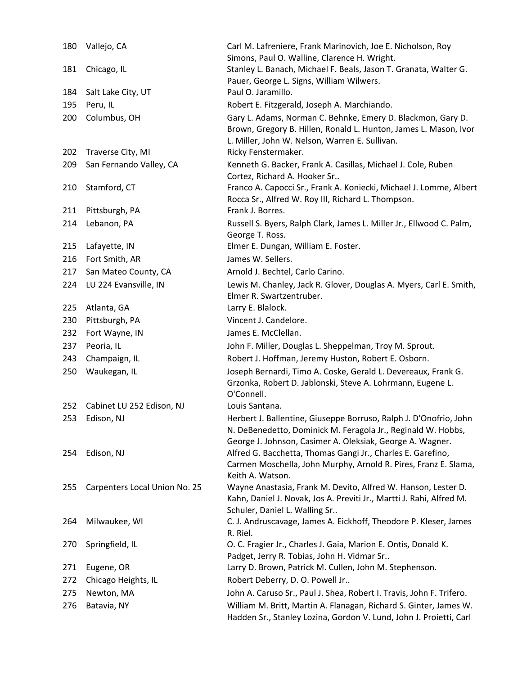| 180 | Vallejo, CA                   | Carl M. Lafreniere, Frank Marinovich, Joe E. Nicholson, Roy<br>Simons, Paul O. Walline, Clarence H. Wright.                                                                                    |
|-----|-------------------------------|------------------------------------------------------------------------------------------------------------------------------------------------------------------------------------------------|
| 181 | Chicago, IL                   | Stanley L. Banach, Michael F. Beals, Jason T. Granata, Walter G.<br>Pauer, George L. Signs, William Wilwers.                                                                                   |
| 184 | Salt Lake City, UT            | Paul O. Jaramillo.                                                                                                                                                                             |
| 195 | Peru, IL                      | Robert E. Fitzgerald, Joseph A. Marchiando.                                                                                                                                                    |
| 200 | Columbus, OH                  | Gary L. Adams, Norman C. Behnke, Emery D. Blackmon, Gary D.<br>Brown, Gregory B. Hillen, Ronald L. Hunton, James L. Mason, Ivor<br>L. Miller, John W. Nelson, Warren E. Sullivan.              |
| 202 | Traverse City, MI             | Ricky Fenstermaker.                                                                                                                                                                            |
| 209 | San Fernando Valley, CA       | Kenneth G. Backer, Frank A. Casillas, Michael J. Cole, Ruben<br>Cortez, Richard A. Hooker Sr                                                                                                   |
| 210 | Stamford, CT                  | Franco A. Capocci Sr., Frank A. Koniecki, Michael J. Lomme, Albert<br>Rocca Sr., Alfred W. Roy III, Richard L. Thompson.                                                                       |
| 211 | Pittsburgh, PA                | Frank J. Borres.                                                                                                                                                                               |
| 214 | Lebanon, PA                   | Russell S. Byers, Ralph Clark, James L. Miller Jr., Ellwood C. Palm,<br>George T. Ross.                                                                                                        |
| 215 | Lafayette, IN                 | Elmer E. Dungan, William E. Foster.                                                                                                                                                            |
| 216 | Fort Smith, AR                | James W. Sellers.                                                                                                                                                                              |
| 217 | San Mateo County, CA          | Arnold J. Bechtel, Carlo Carino.                                                                                                                                                               |
| 224 | LU 224 Evansville, IN         | Lewis M. Chanley, Jack R. Glover, Douglas A. Myers, Carl E. Smith,<br>Elmer R. Swartzentruber.                                                                                                 |
| 225 | Atlanta, GA                   | Larry E. Blalock.                                                                                                                                                                              |
| 230 | Pittsburgh, PA                | Vincent J. Candelore.                                                                                                                                                                          |
| 232 | Fort Wayne, IN                | James E. McClellan.                                                                                                                                                                            |
| 237 | Peoria, IL                    | John F. Miller, Douglas L. Sheppelman, Troy M. Sprout.                                                                                                                                         |
| 243 | Champaign, IL                 | Robert J. Hoffman, Jeremy Huston, Robert E. Osborn.                                                                                                                                            |
| 250 | Waukegan, IL                  | Joseph Bernardi, Timo A. Coske, Gerald L. Devereaux, Frank G.<br>Grzonka, Robert D. Jablonski, Steve A. Lohrmann, Eugene L.<br>O'Connell.                                                      |
| 252 | Cabinet LU 252 Edison, NJ     | Louis Santana.                                                                                                                                                                                 |
| 253 | Edison, NJ                    | Herbert J. Ballentine, Giuseppe Borruso, Ralph J. D'Onofrio, John<br>N. DeBenedetto, Dominick M. Feragola Jr., Reginald W. Hobbs,<br>George J. Johnson, Casimer A. Oleksiak, George A. Wagner. |
| 254 | Edison, NJ                    | Alfred G. Bacchetta, Thomas Gangi Jr., Charles E. Garefino,<br>Carmen Moschella, John Murphy, Arnold R. Pires, Franz E. Slama,<br>Keith A. Watson.                                             |
| 255 | Carpenters Local Union No. 25 | Wayne Anastasia, Frank M. Devito, Alfred W. Hanson, Lester D.<br>Kahn, Daniel J. Novak, Jos A. Previti Jr., Martti J. Rahi, Alfred M.<br>Schuler, Daniel L. Walling Sr                         |
| 264 | Milwaukee, WI                 | C. J. Andruscavage, James A. Eickhoff, Theodore P. Kleser, James<br>R. Riel.                                                                                                                   |
| 270 | Springfield, IL               | O. C. Fragier Jr., Charles J. Gaia, Marion E. Ontis, Donald K.<br>Padget, Jerry R. Tobias, John H. Vidmar Sr                                                                                   |
| 271 | Eugene, OR                    | Larry D. Brown, Patrick M. Cullen, John M. Stephenson.                                                                                                                                         |
| 272 | Chicago Heights, IL           | Robert Deberry, D. O. Powell Jr                                                                                                                                                                |
| 275 | Newton, MA                    | John A. Caruso Sr., Paul J. Shea, Robert I. Travis, John F. Trifero.                                                                                                                           |
| 276 | Batavia, NY                   | William M. Britt, Martin A. Flanagan, Richard S. Ginter, James W.<br>Hadden Sr., Stanley Lozina, Gordon V. Lund, John J. Proietti, Carl                                                        |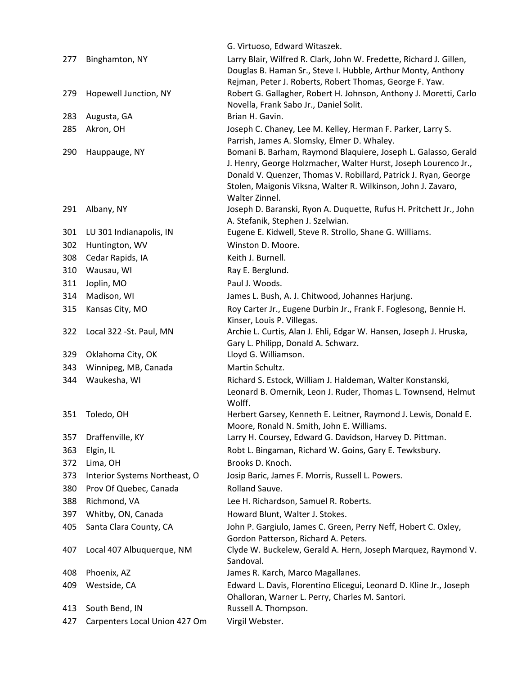|     |                               | G. Virtuoso, Edward Witaszek.                                                                                                    |
|-----|-------------------------------|----------------------------------------------------------------------------------------------------------------------------------|
| 277 | Binghamton, NY                | Larry Blair, Wilfred R. Clark, John W. Fredette, Richard J. Gillen,                                                              |
|     |                               | Douglas B. Haman Sr., Steve I. Hubble, Arthur Monty, Anthony                                                                     |
|     |                               | Rejman, Peter J. Roberts, Robert Thomas, George F. Yaw.                                                                          |
| 279 | Hopewell Junction, NY         | Robert G. Gallagher, Robert H. Johnson, Anthony J. Moretti, Carlo                                                                |
|     |                               | Novella, Frank Sabo Jr., Daniel Solit.                                                                                           |
| 283 | Augusta, GA                   | Brian H. Gavin.                                                                                                                  |
| 285 | Akron, OH                     | Joseph C. Chaney, Lee M. Kelley, Herman F. Parker, Larry S.                                                                      |
|     |                               | Parrish, James A. Slomsky, Elmer D. Whaley.                                                                                      |
| 290 | Hauppauge, NY                 | Bomani B. Barham, Raymond Blaquiere, Joseph L. Galasso, Gerald                                                                   |
|     |                               | J. Henry, George Holzmacher, Walter Hurst, Joseph Lourenco Jr.,                                                                  |
|     |                               | Donald V. Quenzer, Thomas V. Robillard, Patrick J. Ryan, George<br>Stolen, Maigonis Viksna, Walter R. Wilkinson, John J. Zavaro, |
|     |                               | Walter Zinnel.                                                                                                                   |
| 291 | Albany, NY                    | Joseph D. Baranski, Ryon A. Duquette, Rufus H. Pritchett Jr., John                                                               |
|     |                               | A. Stefanik, Stephen J. Szelwian.                                                                                                |
| 301 | LU 301 Indianapolis, IN       | Eugene E. Kidwell, Steve R. Strollo, Shane G. Williams.                                                                          |
| 302 | Huntington, WV                | Winston D. Moore.                                                                                                                |
| 308 | Cedar Rapids, IA              | Keith J. Burnell.                                                                                                                |
| 310 | Wausau, WI                    | Ray E. Berglund.                                                                                                                 |
| 311 | Joplin, MO                    | Paul J. Woods.                                                                                                                   |
| 314 | Madison, WI                   | James L. Bush, A. J. Chitwood, Johannes Harjung.                                                                                 |
| 315 | Kansas City, MO               | Roy Carter Jr., Eugene Durbin Jr., Frank F. Foglesong, Bennie H.                                                                 |
|     |                               | Kinser, Louis P. Villegas.                                                                                                       |
| 322 | Local 322 - St. Paul, MN      | Archie L. Curtis, Alan J. Ehli, Edgar W. Hansen, Joseph J. Hruska,                                                               |
|     |                               | Gary L. Philipp, Donald A. Schwarz.                                                                                              |
| 329 | Oklahoma City, OK             | Lloyd G. Williamson.                                                                                                             |
| 343 | Winnipeg, MB, Canada          | Martin Schultz.                                                                                                                  |
| 344 | Waukesha, WI                  | Richard S. Estock, William J. Haldeman, Walter Konstanski,                                                                       |
|     |                               | Leonard B. Omernik, Leon J. Ruder, Thomas L. Townsend, Helmut                                                                    |
|     |                               | Wolff.                                                                                                                           |
| 351 | Toledo, OH                    | Herbert Garsey, Kenneth E. Leitner, Raymond J. Lewis, Donald E.<br>Moore, Ronald N. Smith, John E. Williams.                     |
| 357 | Draffenville, KY              | Larry H. Coursey, Edward G. Davidson, Harvey D. Pittman.                                                                         |
| 363 | Elgin, IL                     | Robt L. Bingaman, Richard W. Goins, Gary E. Tewksbury.                                                                           |
| 372 | Lima, OH                      | Brooks D. Knoch.                                                                                                                 |
| 373 | Interior Systems Northeast, O | Josip Baric, James F. Morris, Russell L. Powers.                                                                                 |
| 380 | Prov Of Quebec, Canada        | Rolland Sauve.                                                                                                                   |
| 388 | Richmond, VA                  | Lee H. Richardson, Samuel R. Roberts.                                                                                            |
| 397 | Whitby, ON, Canada            | Howard Blunt, Walter J. Stokes.                                                                                                  |
| 405 | Santa Clara County, CA        | John P. Gargiulo, James C. Green, Perry Neff, Hobert C. Oxley,                                                                   |
|     |                               | Gordon Patterson, Richard A. Peters.                                                                                             |
| 407 | Local 407 Albuquerque, NM     | Clyde W. Buckelew, Gerald A. Hern, Joseph Marquez, Raymond V.                                                                    |
|     |                               | Sandoval.                                                                                                                        |
| 408 | Phoenix, AZ                   | James R. Karch, Marco Magallanes.                                                                                                |
| 409 | Westside, CA                  | Edward L. Davis, Florentino Elicegui, Leonard D. Kline Jr., Joseph                                                               |
|     |                               | Ohalloran, Warner L. Perry, Charles M. Santori.                                                                                  |
| 413 | South Bend, IN                | Russell A. Thompson.                                                                                                             |
| 427 | Carpenters Local Union 427 Om | Virgil Webster.                                                                                                                  |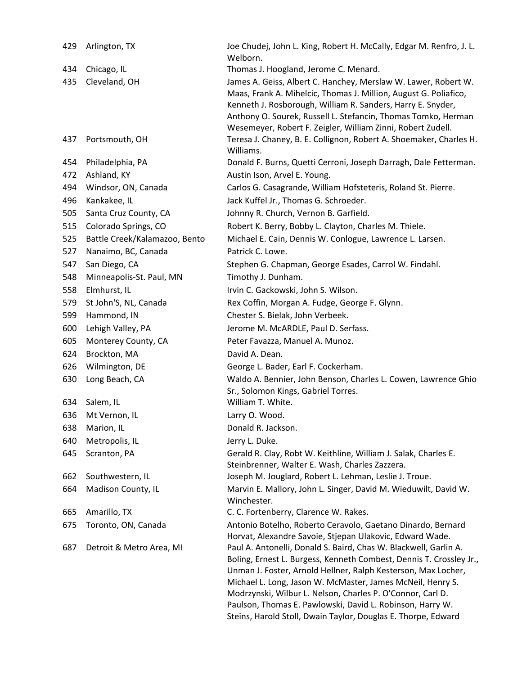| 429 | Arlington, TX                 | Joe Chudej, John L. King, Robert H. McCally, Edgar M. Renfro, J. L.<br>Welborn.                                                                                                                                                                                                                                                                                                                                                                                    |
|-----|-------------------------------|--------------------------------------------------------------------------------------------------------------------------------------------------------------------------------------------------------------------------------------------------------------------------------------------------------------------------------------------------------------------------------------------------------------------------------------------------------------------|
| 434 | Chicago, IL                   | Thomas J. Hoogland, Jerome C. Menard.                                                                                                                                                                                                                                                                                                                                                                                                                              |
| 435 | Cleveland, OH                 | James A. Geiss, Albert C. Hanchey, Merslaw W. Lawer, Robert W.<br>Maas, Frank A. Mihelcic, Thomas J. Million, August G. Poliafico,<br>Kenneth J. Rosborough, William R. Sanders, Harry E. Snyder,<br>Anthony O. Sourek, Russell L. Stefancin, Thomas Tomko, Herman<br>Wesemeyer, Robert F. Zeigler, William Zinni, Robert Zudell.                                                                                                                                  |
| 437 | Portsmouth, OH                | Teresa J. Chaney, B. E. Collignon, Robert A. Shoemaker, Charles H.<br>Williams.                                                                                                                                                                                                                                                                                                                                                                                    |
| 454 | Philadelphia, PA              | Donald F. Burns, Quetti Cerroni, Joseph Darragh, Dale Fetterman.                                                                                                                                                                                                                                                                                                                                                                                                   |
| 472 | Ashland, KY                   | Austin Ison, Arvel E. Young.                                                                                                                                                                                                                                                                                                                                                                                                                                       |
| 494 | Windsor, ON, Canada           | Carlos G. Casagrande, William Hofsteteris, Roland St. Pierre.                                                                                                                                                                                                                                                                                                                                                                                                      |
| 496 | Kankakee, IL                  | Jack Kuffel Jr., Thomas G. Schroeder.                                                                                                                                                                                                                                                                                                                                                                                                                              |
| 505 | Santa Cruz County, CA         | Johnny R. Church, Vernon B. Garfield.                                                                                                                                                                                                                                                                                                                                                                                                                              |
| 515 | Colorado Springs, CO          | Robert K. Berry, Bobby L. Clayton, Charles M. Thiele.                                                                                                                                                                                                                                                                                                                                                                                                              |
| 525 | Battle Creek/Kalamazoo, Bento | Michael E. Cain, Dennis W. Conlogue, Lawrence L. Larsen.                                                                                                                                                                                                                                                                                                                                                                                                           |
| 527 | Nanaimo, BC, Canada           | Patrick C. Lowe.                                                                                                                                                                                                                                                                                                                                                                                                                                                   |
| 547 | San Diego, CA                 | Stephen G. Chapman, George Esades, Carrol W. Findahl.                                                                                                                                                                                                                                                                                                                                                                                                              |
| 548 | Minneapolis-St. Paul, MN      | Timothy J. Dunham.                                                                                                                                                                                                                                                                                                                                                                                                                                                 |
| 558 | Elmhurst, IL                  | Irvin C. Gackowski, John S. Wilson.                                                                                                                                                                                                                                                                                                                                                                                                                                |
| 579 | St John'S, NL, Canada         | Rex Coffin, Morgan A. Fudge, George F. Glynn.                                                                                                                                                                                                                                                                                                                                                                                                                      |
| 599 | Hammond, IN                   | Chester S. Bielak, John Verbeek.                                                                                                                                                                                                                                                                                                                                                                                                                                   |
| 600 | Lehigh Valley, PA             | Jerome M. McARDLE, Paul D. Serfass.                                                                                                                                                                                                                                                                                                                                                                                                                                |
| 605 | Monterey County, CA           | Peter Favazza, Manuel A. Munoz.                                                                                                                                                                                                                                                                                                                                                                                                                                    |
| 624 | Brockton, MA                  | David A. Dean.                                                                                                                                                                                                                                                                                                                                                                                                                                                     |
| 626 | Wilmington, DE                | George L. Bader, Earl F. Cockerham.                                                                                                                                                                                                                                                                                                                                                                                                                                |
| 630 | Long Beach, CA                | Waldo A. Bennier, John Benson, Charles L. Cowen, Lawrence Ghio<br>Sr., Solomon Kings, Gabriel Torres.                                                                                                                                                                                                                                                                                                                                                              |
| 634 | Salem, IL                     | William T. White.                                                                                                                                                                                                                                                                                                                                                                                                                                                  |
| 636 | Mt Vernon, IL                 | Larry O. Wood.                                                                                                                                                                                                                                                                                                                                                                                                                                                     |
| 638 | Marion, IL                    | Donald R. Jackson.                                                                                                                                                                                                                                                                                                                                                                                                                                                 |
| 640 | Metropolis, IL                | Jerry L. Duke.                                                                                                                                                                                                                                                                                                                                                                                                                                                     |
| 645 | Scranton, PA                  | Gerald R. Clay, Robt W. Keithline, William J. Salak, Charles E.<br>Steinbrenner, Walter E. Wash, Charles Zazzera.                                                                                                                                                                                                                                                                                                                                                  |
| 662 | Southwestern, IL              | Joseph M. Jouglard, Robert L. Lehman, Leslie J. Troue.                                                                                                                                                                                                                                                                                                                                                                                                             |
| 664 | Madison County, IL            | Marvin E. Mallory, John L. Singer, David M. Wieduwilt, David W.<br>Winchester.                                                                                                                                                                                                                                                                                                                                                                                     |
| 665 | Amarillo, TX                  | C. C. Fortenberry, Clarence W. Rakes.                                                                                                                                                                                                                                                                                                                                                                                                                              |
| 675 | Toronto, ON, Canada           | Antonio Botelho, Roberto Ceravolo, Gaetano Dinardo, Bernard<br>Horvat, Alexandre Savoie, Stjepan Ulakovic, Edward Wade.                                                                                                                                                                                                                                                                                                                                            |
| 687 | Detroit & Metro Area, MI      | Paul A. Antonelli, Donald S. Baird, Chas W. Blackwell, Garlin A.<br>Boling, Ernest L. Burgess, Kenneth Combest, Dennis T. Crossley Jr.,<br>Unman J. Foster, Arnold Hellner, Ralph Kesterson, Max Locher,<br>Michael L. Long, Jason W. McMaster, James McNeil, Henry S.<br>Modrzynski, Wilbur L. Nelson, Charles P. O'Connor, Carl D.<br>Paulson, Thomas E. Pawlowski, David L. Robinson, Harry W.<br>Steins, Harold Stoll, Dwain Taylor, Douglas E. Thorpe, Edward |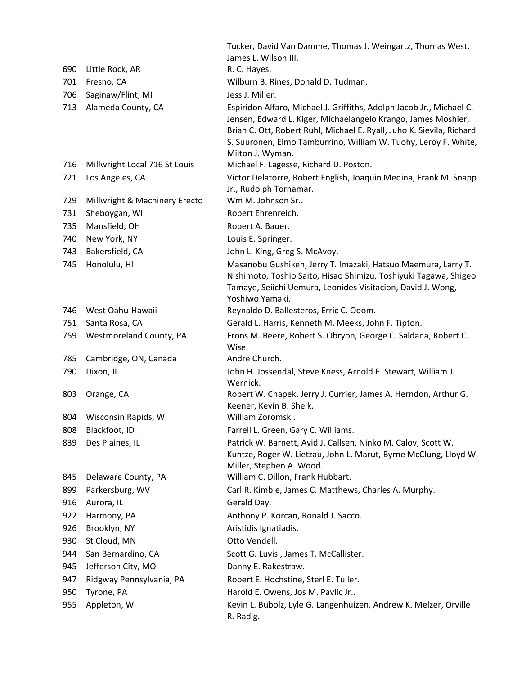|     |                               | Tucker, David Van Damme, Thomas J. Weingartz, Thomas West,<br>James L. Wilson III.                                                                                                                                                                                                                    |
|-----|-------------------------------|-------------------------------------------------------------------------------------------------------------------------------------------------------------------------------------------------------------------------------------------------------------------------------------------------------|
| 690 | Little Rock, AR               | R. C. Hayes.                                                                                                                                                                                                                                                                                          |
| 701 | Fresno, CA                    | Wilburn B. Rines, Donald D. Tudman.                                                                                                                                                                                                                                                                   |
| 706 | Saginaw/Flint, MI             | Jess J. Miller.                                                                                                                                                                                                                                                                                       |
| 713 | Alameda County, CA            | Espiridon Alfaro, Michael J. Griffiths, Adolph Jacob Jr., Michael C.<br>Jensen, Edward L. Kiger, Michaelangelo Krango, James Moshier,<br>Brian C. Ott, Robert Ruhl, Michael E. Ryall, Juho K. Sievila, Richard<br>S. Suuronen, Elmo Tamburrino, William W. Tuohy, Leroy F. White,<br>Milton J. Wyman. |
| 716 | Millwright Local 716 St Louis | Michael F. Lagesse, Richard D. Poston.                                                                                                                                                                                                                                                                |
| 721 | Los Angeles, CA               | Victor Delatorre, Robert English, Joaquin Medina, Frank M. Snapp<br>Jr., Rudolph Tornamar.                                                                                                                                                                                                            |
| 729 | Millwright & Machinery Erecto | Wm M. Johnson Sr                                                                                                                                                                                                                                                                                      |
| 731 | Sheboygan, WI                 | Robert Ehrenreich.                                                                                                                                                                                                                                                                                    |
| 735 | Mansfield, OH                 | Robert A. Bauer.                                                                                                                                                                                                                                                                                      |
| 740 | New York, NY                  | Louis E. Springer.                                                                                                                                                                                                                                                                                    |
| 743 | Bakersfield, CA               | John L. King, Greg S. McAvoy.                                                                                                                                                                                                                                                                         |
| 745 | Honolulu, HI                  | Masanobu Gushiken, Jerry T. Imazaki, Hatsuo Maemura, Larry T.<br>Nishimoto, Toshio Saito, Hisao Shimizu, Toshiyuki Tagawa, Shigeo<br>Tamaye, Seiichi Uemura, Leonides Visitacion, David J. Wong,<br>Yoshiwo Yamaki.                                                                                   |
| 746 | West Oahu-Hawaii              | Reynaldo D. Ballesteros, Erric C. Odom.                                                                                                                                                                                                                                                               |
| 751 | Santa Rosa, CA                | Gerald L. Harris, Kenneth M. Meeks, John F. Tipton.                                                                                                                                                                                                                                                   |
| 759 | Westmoreland County, PA       | Frons M. Beere, Robert S. Obryon, George C. Saldana, Robert C.<br>Wise.                                                                                                                                                                                                                               |
| 785 | Cambridge, ON, Canada         | Andre Church.                                                                                                                                                                                                                                                                                         |
| 790 | Dixon, IL                     | John H. Jossendal, Steve Kness, Arnold E. Stewart, William J.<br>Wernick.                                                                                                                                                                                                                             |
| 803 | Orange, CA                    | Robert W. Chapek, Jerry J. Currier, James A. Herndon, Arthur G.<br>Keener, Kevin B. Sheik.                                                                                                                                                                                                            |
| 804 | Wisconsin Rapids, WI          | William Zoromski.                                                                                                                                                                                                                                                                                     |
| 808 | Blackfoot, ID                 | Farrell L. Green, Gary C. Williams.                                                                                                                                                                                                                                                                   |
| 839 | Des Plaines, IL               | Patrick W. Barnett, Avid J. Callsen, Ninko M. Calov, Scott W.<br>Kuntze, Roger W. Lietzau, John L. Marut, Byrne McClung, Lloyd W.<br>Miller, Stephen A. Wood.                                                                                                                                         |
| 845 | Delaware County, PA           | William C. Dillon, Frank Hubbart.                                                                                                                                                                                                                                                                     |
| 899 | Parkersburg, WV               | Carl R. Kimble, James C. Matthews, Charles A. Murphy.                                                                                                                                                                                                                                                 |
| 916 | Aurora, IL                    | Gerald Day.                                                                                                                                                                                                                                                                                           |
| 922 | Harmony, PA                   | Anthony P. Korcan, Ronald J. Sacco.                                                                                                                                                                                                                                                                   |
| 926 | Brooklyn, NY                  | Aristidis Ignatiadis.                                                                                                                                                                                                                                                                                 |
| 930 | St Cloud, MN                  | Otto Vendell.                                                                                                                                                                                                                                                                                         |
| 944 | San Bernardino, CA            | Scott G. Luvisi, James T. McCallister.                                                                                                                                                                                                                                                                |
| 945 | Jefferson City, MO            | Danny E. Rakestraw.                                                                                                                                                                                                                                                                                   |
| 947 | Ridgway Pennsylvania, PA      | Robert E. Hochstine, Sterl E. Tuller.                                                                                                                                                                                                                                                                 |
| 950 | Tyrone, PA                    | Harold E. Owens, Jos M. Pavlic Jr                                                                                                                                                                                                                                                                     |
| 955 | Appleton, WI                  | Kevin L. Bubolz, Lyle G. Langenhuizen, Andrew K. Melzer, Orville<br>R. Radig.                                                                                                                                                                                                                         |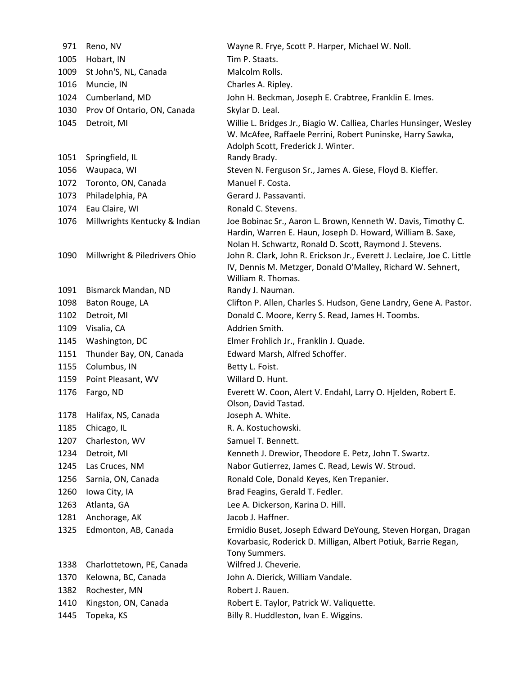| 971          | Reno, NV                                                       | Wayne R. Frye, Scott P. Harper, Michael W. Noll.                                                                                                                                                                                                                  |
|--------------|----------------------------------------------------------------|-------------------------------------------------------------------------------------------------------------------------------------------------------------------------------------------------------------------------------------------------------------------|
| 1005         | Hobart, IN                                                     | Tim P. Staats.                                                                                                                                                                                                                                                    |
| 1009         | St John'S, NL, Canada                                          | Malcolm Rolls.                                                                                                                                                                                                                                                    |
| 1016         | Muncie, IN                                                     | Charles A. Ripley.                                                                                                                                                                                                                                                |
| 1024         | Cumberland, MD                                                 | John H. Beckman, Joseph E. Crabtree, Franklin E. Imes.                                                                                                                                                                                                            |
| 1030         | Prov Of Ontario, ON, Canada                                    | Skylar D. Leal.                                                                                                                                                                                                                                                   |
| 1045         | Detroit, MI                                                    | Willie L. Bridges Jr., Biagio W. Calliea, Charles Hunsinger, Wesley<br>W. McAfee, Raffaele Perrini, Robert Puninske, Harry Sawka,<br>Adolph Scott, Frederick J. Winter.                                                                                           |
| 1051         | Springfield, IL                                                | Randy Brady.                                                                                                                                                                                                                                                      |
| 1056         | Waupaca, WI                                                    | Steven N. Ferguson Sr., James A. Giese, Floyd B. Kieffer.                                                                                                                                                                                                         |
| 1072         | Toronto, ON, Canada                                            | Manuel F. Costa.                                                                                                                                                                                                                                                  |
| 1073         | Philadelphia, PA                                               | Gerard J. Passavanti.                                                                                                                                                                                                                                             |
| 1074         | Eau Claire, WI                                                 | Ronald C. Stevens.                                                                                                                                                                                                                                                |
| 1076<br>1090 | Millwrights Kentucky & Indian<br>Millwright & Piledrivers Ohio | Joe Bobinac Sr., Aaron L. Brown, Kenneth W. Davis, Timothy C.<br>Hardin, Warren E. Haun, Joseph D. Howard, William B. Saxe,<br>Nolan H. Schwartz, Ronald D. Scott, Raymond J. Stevens.<br>John R. Clark, John R. Erickson Jr., Everett J. Leclaire, Joe C. Little |
|              |                                                                | IV, Dennis M. Metzger, Donald O'Malley, Richard W. Sehnert,<br>William R. Thomas.                                                                                                                                                                                 |
| 1091         | Bismarck Mandan, ND                                            | Randy J. Nauman.                                                                                                                                                                                                                                                  |
| 1098         | Baton Rouge, LA                                                | Clifton P. Allen, Charles S. Hudson, Gene Landry, Gene A. Pastor.                                                                                                                                                                                                 |
| 1102         | Detroit, MI                                                    | Donald C. Moore, Kerry S. Read, James H. Toombs.                                                                                                                                                                                                                  |
| 1109         | Visalia, CA                                                    | Addrien Smith.                                                                                                                                                                                                                                                    |
| 1145         | Washington, DC                                                 | Elmer Frohlich Jr., Franklin J. Quade.                                                                                                                                                                                                                            |
| 1151         | Thunder Bay, ON, Canada                                        | Edward Marsh, Alfred Schoffer.                                                                                                                                                                                                                                    |
| 1155         | Columbus, IN                                                   | Betty L. Foist.                                                                                                                                                                                                                                                   |
| 1159         | Point Pleasant, WV                                             | Willard D. Hunt.                                                                                                                                                                                                                                                  |
| 1176         | Fargo, ND                                                      | Everett W. Coon, Alert V. Endahl, Larry O. Hjelden, Robert E.<br>Olson, David Tastad.                                                                                                                                                                             |
| 1178         | Halifax, NS, Canada                                            | Joseph A. White.                                                                                                                                                                                                                                                  |
| 1185         | Chicago, IL                                                    | R. A. Kostuchowski.                                                                                                                                                                                                                                               |
| 1207         | Charleston, WV                                                 | Samuel T. Bennett.                                                                                                                                                                                                                                                |
| 1234         | Detroit, MI                                                    | Kenneth J. Drewior, Theodore E. Petz, John T. Swartz.                                                                                                                                                                                                             |
| 1245         | Las Cruces, NM                                                 | Nabor Gutierrez, James C. Read, Lewis W. Stroud.                                                                                                                                                                                                                  |
| 1256         | Sarnia, ON, Canada                                             | Ronald Cole, Donald Keyes, Ken Trepanier.                                                                                                                                                                                                                         |
| 1260         | Iowa City, IA                                                  | Brad Feagins, Gerald T. Fedler.                                                                                                                                                                                                                                   |
| 1263         | Atlanta, GA                                                    | Lee A. Dickerson, Karina D. Hill.                                                                                                                                                                                                                                 |
| 1281         | Anchorage, AK                                                  | Jacob J. Haffner.                                                                                                                                                                                                                                                 |
| 1325         | Edmonton, AB, Canada                                           | Ermidio Buset, Joseph Edward DeYoung, Steven Horgan, Dragan<br>Kovarbasic, Roderick D. Milligan, Albert Potiuk, Barrie Regan,<br>Tony Summers.                                                                                                                    |
| 1338         | Charlottetown, PE, Canada                                      | Wilfred J. Cheverie.                                                                                                                                                                                                                                              |
| 1370         | Kelowna, BC, Canada                                            | John A. Dierick, William Vandale.                                                                                                                                                                                                                                 |
| 1382         | Rochester, MN                                                  | Robert J. Rauen.                                                                                                                                                                                                                                                  |
| 1410         | Kingston, ON, Canada                                           | Robert E. Taylor, Patrick W. Valiquette.                                                                                                                                                                                                                          |
| 1445         | Topeka, KS                                                     | Billy R. Huddleston, Ivan E. Wiggins.                                                                                                                                                                                                                             |
|              |                                                                |                                                                                                                                                                                                                                                                   |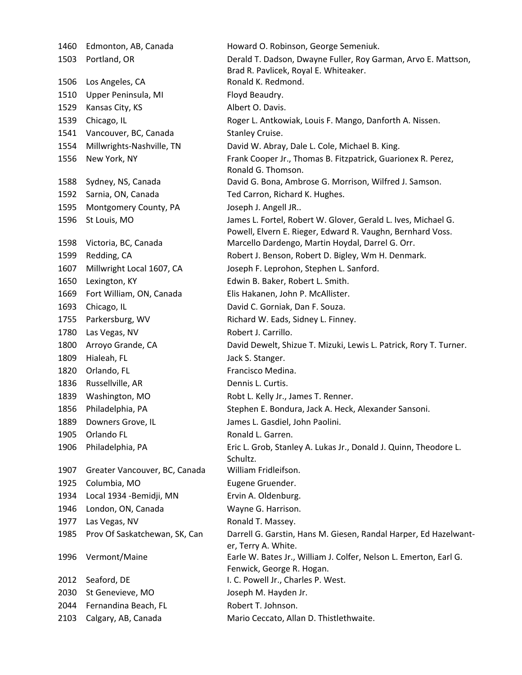1506 Los Angeles, CA Ronald K. Redmond. 1510 Upper Peninsula, MI Floyd Beaudry. 1529 Kansas City, KS Albert O. Davis. 1541 Vancouver, BC, Canada Stanley Cruise. 1592 Sarnia, ON, Canada Ted Carron, Richard K. Hughes. 1595 Montgomery County, PA Joseph J. Angell JR.. 1650 Lexington, KY Edwin B. Baker, Robert L. Smith. 1669 Fort William, ON, Canada Elis Hakanen, John P. McAllister. 1693 Chicago, IL David C. Gorniak, Dan F. Souza. 1755 Parkersburg, WV Richard W. Eads, Sidney L. Finney. 1780 Las Vegas, NV Robert J. Carrillo. 1809 Hialeah, FL **Jack S. Stanger.** 1820 Orlando, FL **Francisco Medina.** 1836 Russellville, AR Dennis L. Curtis. 1839 Washington, MO Robt L. Kelly Jr., James T. Renner. 1889 Downers Grove, IL James L. Gasdiel, John Paolini. 1905 Orlando FL Ronald L. Garren. 1907 Greater Vancouver, BC, Canada William Fridleifson. 1925 Columbia, MO Eugene Gruender. 1934 Local 1934 ‐Bemidji, MN Ervin A. Oldenburg. 1946 London, ON, Canada Wayne G. Harrison. 1977 Las Vegas, NV **Ronald T. Massey.** 2012 Seaford, DE I. C. Powell Jr., Charles P. West. 2030 St Genevieve, MO Joseph M. Hayden Jr. 2044 Fernandina Beach, FL Beach, FL Beach Robert T. Johnson.

1460 Edmonton, AB, Canada Howard O. Robinson, George Semeniuk. 1503 Portland, OR Derald T. Dadson, Dwayne Fuller, Roy Garman, Arvo E. Mattson, Brad R. Pavlicek, Royal E. Whiteaker. 1539 Chicago, IL Chicago, IL Roger L. Antkowiak, Louis F. Mango, Danforth A. Nissen. 1554 Millwrights‐Nashville, TN David W. Abray, Dale L. Cole, Michael B. King. 1556 New York, NY Frank Cooper Jr., Thomas B. Fitzpatrick, Guarionex R. Perez, Ronald G. Thomson. 1588 Sydney, NS, Canada David G. Bona, Ambrose G. Morrison, Wilfred J. Samson. 1596 St Louis, MO James L. Fortel, Robert W. Glover, Gerald L. Ives, Michael G. Powell, Elvern E. Rieger, Edward R. Vaughn, Bernhard Voss. 1598 Victoria, BC, Canada Marcello Dardengo, Martin Hoydal, Darrel G. Orr. 1599 Redding, CA Robert J. Benson, Robert D. Bigley, Wm H. Denmark. 1607 Millwright Local 1607, CA Joseph F. Leprohon, Stephen L. Sanford. 1800 Arroyo Grande, CA **David Dewelt, Shizue T. Mizuki, Lewis L. Patrick**, Rory T. Turner. 1856 Philadelphia, PA Stephen E. Bondura, Jack A. Heck, Alexander Sansoni. 1906 Philadelphia, PA Eric L. Grob, Stanley A. Lukas Jr., Donald J. Quinn, Theodore L. Schultz. 1985 Prov Of Saskatchewan, SK, Can Darrell G. Garstin, Hans M. Giesen, Randal Harper, Ed Hazelwant‐ er, Terry A. White. 1996 Vermont/Maine Earle W. Bates Jr., William J. Colfer, Nelson L. Emerton, Earl G. Fenwick, George R. Hogan. 2103 Calgary, AB, Canada Mario Ceccato, Allan D. Thistlethwaite.